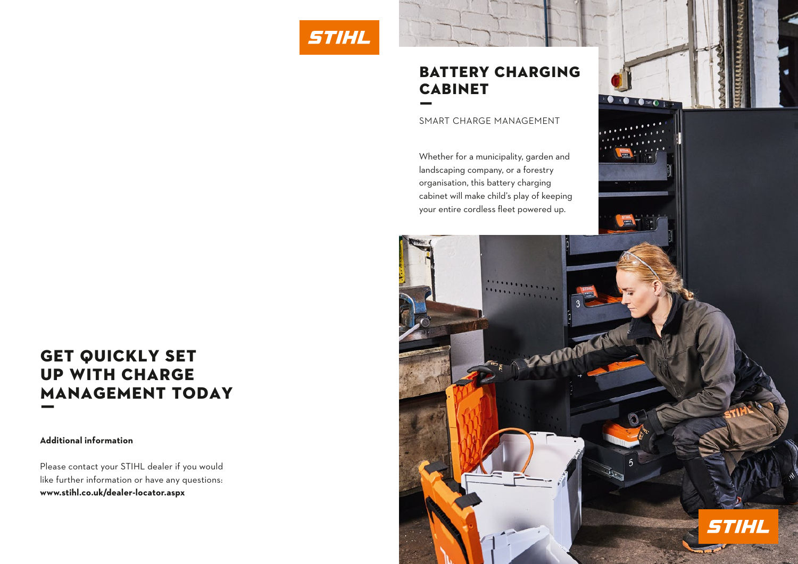



# **GET QUICKLY SET** up with charge management today ƒ

### **Additional information**

Please contact your STIHL dealer if you would like further information or have any questions: **www.stihl.co.uk/dealer-locator.aspx**